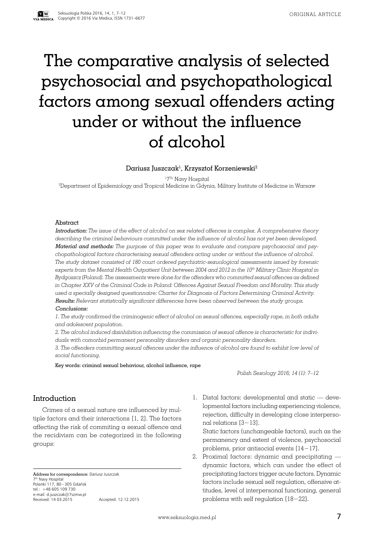# The comparative analysis of selected psychosocial and psychopathological factors among sexual offenders acting under or without the influence of alcohol

#### Dariusz Juszczak $^{\rm l}$ , Krzysztof Korzeniewski $^{\rm 2}$

1 7Th Navy Hospital

2 Department of Epidemiology and Tropical Medicine in Gdynia, Military Institute of Medicine in Warsaw

#### Abstract

Introduction: *The issue of the effect of alcohol on sex related offences is complex. A comprehensive theory describing the criminal behaviours committed under the influence of alcohol has not yet been developed.* Material and methods: *The purpose of this paper was to evaluate and compare psychosocial and psychopathological factors characterising sexual offenders acting under or without the influence of alcohol. The study dataset consisted of 180 court ordered psychiatric-sexuological assessments issued by forensic experts from the Mental Health Outpatient Unit between 2004 and 2012 in the 10th Military Clinic Hospital in Bydgoszcz (Poland). The assessments were done for the offenders who committed sexual offences as defined in Chapter XXV of the Criminal Code in Poland: Offences Against Sexual Freedom and Morality. This study used a specially designed questionnaire: Charter for Diagnosis of Factors Determining Criminal Activity.* Results: *Relevant statistically significant differences have been observed between the study groups.* Conclusions:

*1. The study confirmed the criminogenic effect of alcohol on sexual offences, especially rape, in both adults and adolescent population.* 

*2. The alcohol induced disinhibition influencing the commission of sexual offence is characteristic for individuals with comorbid permanent personality disorders and organic personality disorders.* 

*3. The offenders committing sexual offences under the influence of alcohol are found to exhibit low level of social functioning.*

Key words: criminal sexual behaviour, alcohol influence, rape

*Polish Sexology 2016; 14 (1): 7–12*

#### Introduction

Crimes of a sexual nature are influenced by multiple factors and their interactions [1, 2]. The factors affecting the risk of commiting a sexual offence and the recidivism can be categorized in the following groups:

Address for correspondence: Dariusz Juszczak 7<sup>th</sup> Navy Hospital<br>Polanki 117, 80−305 Gdańsk tel.: +48 605 109 730 e-mail: d.juszczak@7szmw.pl Received: 14 03.2015 Accepted: 12.12.2015 2011 1. Distal factors: developmental and static — developmental factors including experiencing violence, rejection, difficulty in developing close interpersonal relations [3−13].

Static factors (unchangeable factors), such as the permanency and extent of violence, psychosocial problems, prior antisocial events [14−17].

2. Proximal factors: dynamic and precipitating dynamic factors, which can under the effect of precipitating factors trigger acute factors. Dynamic factors include sexual self regulation, offensive attitudes, level of interpersonal functioning, general problems with self regulation [18−22].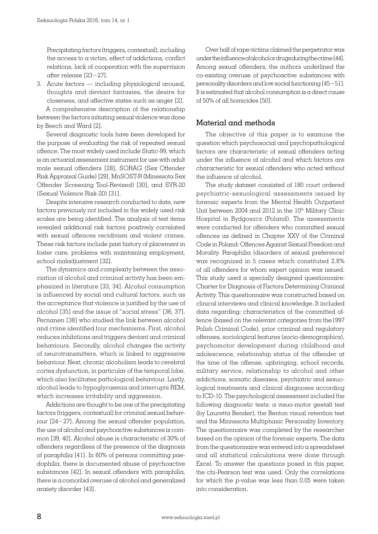Precipitating factors (triggers, contextual), including the access to a victim, effect of addictions, conflict relations, lack of cooperation with the supervision after release [23−27].

3. Acute factors — including physiological arousal, thoughts and deviant fantasies, the desire for closeness, and affective states such as anger [2]. A comprehensive description of the relationship

between the factors initiating sexual violence was done by Beech and Ward [2].

Several diagnostic tools have been developed for the purpose of evaluating the risk of repeated sexual offence. The most widely used include Static-99, which is an actuarial assessment instrument for use with adult male sexual offenders [28], SORAG (Sex Offender Risk Appraisal Guide) [29], MnSOST-R (Minessota Sex Offender Screening Tool-Revised) [30], and SVR-20 (Sexual Violence Risk-20) [31].

Despite intensive research conducted to date, new factors previously not included in the widely used risk scales are being identified. The analysis of test items revealed additional risk factors positively correlated with sexual offences recidivism and violent crimes. These risk factors include past history of placement in foster care, problems with maintaining employment, school maladjustment [32].

The dynamics and complexity between the association of alcohol and criminal activity has been emphasized in literature [33, 34]. Alcohol consumption is influenced by social and cultural factors, such as the acceptance that violence is justified by the use of alcohol [35] and the issue of "social stress" [36, 37]. Pernanen [38] who studied the link between alcohol and crime identified four mechanisms. First, alcohol reduces inhibitions and triggers deviant and criminal behaviours. Secondly, alcohol changes the activity of neurotransmitters, which is linked to aggressive behaviour. Next, chronic alcoholism leads to cerebral cortex dysfunction, in particular of the temporal lobe, which also facilitates pathological behaviour. Lastly, alcohol leads to hypoglycaemia and interrupts REM, which increases irritability and aggression.

Addictions are thought to be one of the precipitating factors (triggers, contextual) for criminal sexual behaviour [24−27]. Among the sexual offender population, the use of alcohol and psychoactive substances is common [39, 40]. Alcohol abuse is characteristic of 30% of offenders regardless of the presence of the diagnosis of paraphilia [41]. In 60% of persons committing paedophilia, there is documented abuse of psychoactive substances [42]. In sexual offenders with paraphilia, there is a comorbid overuse of alcohol and generalized anxiety disorder [43].

Over half of rape victims claimed the perpetrator was under the influence of alcohol or drugs during the crime [44]. Among sexual offenders, the authors underlined the co-existing overuse of psychoactive substances with personality disorders and low social functioning [45−51]. It is estimated that alcohol consumption is a direct cause of 50% of all homicides [50].

# Material and methods

The objective of this paper is to examine the question which psychosocial and psychopathological factors are characteristic of sexual offenders acting under the influence of alcohol and which factors are characteristic for sexual offenders who acted without the influence of alcohol.

The study dataset consisted of 180 court ordered psychiatric-sexuological assessments issued by forensic experts from the Mental Health Outpatient Unit between 2004 and 2012 in the 10<sup>th</sup> Military Clinic Hospital in Bydgoszcz (Poland). The assessments were conducted for offenders who committed sexual offences as defined in Chapter XXV of the Criminal Code in Poland: Offences Against Sexual Freedom and Morality. Paraphilia (disorders of sexual preference) was recognized in 5 cases which constituted 2.8% of all offenders for whom expert opinion was issued. This study used  $\alpha$  specially designed questionnaire: Charter for Diagnosis of Factors Determining Criminal Activity. This questionnaire was constructed based on clinical interviews and clinical knowledge. It included data regarding; characteristics of the committed offence (based on the relevant categories from the1997 Polish Criminal Code), prior criminal and regulatory offenses, sociological features (socio-demographics), psychomotor development during childhood and adolescence, relationship status of the offender at the time of the offense, upbringing, school records, military service, relationship to alcohol and other addictions, somatic diseases, psychiatric and sexuological treatments and clinical diagnoses according to ICD-10. The psychological assessment included the following diagnostic tests: a visuo-motor gestalt test (by Lauretta Bender), the Benton visual retention test and the Minnesota Multiphasic Personality Inventory. The questionnaire was completed by the researcher based on the opinion of the forensic experts. The data from the questionnaire was entered into a spreadsheet and all statistical calculations were done through Excel. To answer the questions posed in this paper, the chi-Pearson test was used. Only the correlations for which the p-value was less than 0.05 were taken into consideration.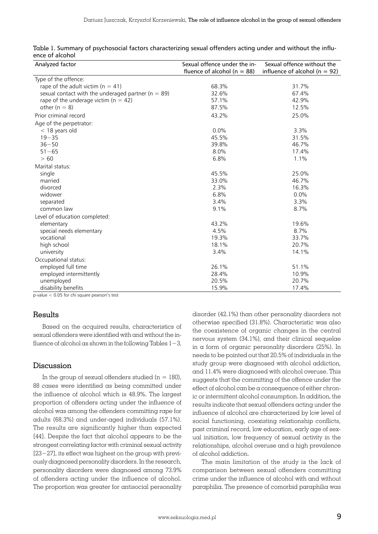| Analyzed factor                                        | Sexual offence under the in-<br>fluence of alcohol ( $n = 88$ ) | Sexual offence without the<br>influence of alcohol ( $n = 92$ ) |
|--------------------------------------------------------|-----------------------------------------------------------------|-----------------------------------------------------------------|
| Type of the offence:                                   |                                                                 |                                                                 |
| rape of the adult victim ( $n = 41$ )                  | 68.3%                                                           | 31.7%                                                           |
| sexual contact with the underaged partner ( $n = 89$ ) | 32.6%                                                           | 67.4%                                                           |
| rape of the underage victim ( $n = 42$ )               | 57.1%                                                           | 42.9%                                                           |
| other ( $n = 8$ )                                      | 87.5%                                                           | 12.5%                                                           |
| Prior criminal record                                  | 43.2%                                                           | 25.0%                                                           |
| Age of the perpetrator:                                |                                                                 |                                                                 |
| $<$ 18 years old                                       | 0.0%                                                            | 3.3%                                                            |
| $19 - 35$                                              | 45.5%                                                           | 31.5%                                                           |
| $36 - 50$                                              | 39.8%                                                           | 46.7%                                                           |
| $51 - 65$                                              | 8.0%                                                            | 17.4%                                                           |
| > 60                                                   | 6.8%                                                            | 1.1%                                                            |
| Marital status:                                        |                                                                 |                                                                 |
| single                                                 | 45.5%                                                           | 25.0%                                                           |
| married                                                | 33.0%                                                           | 46.7%                                                           |
| divorced                                               | 2.3%                                                            | 16.3%                                                           |
| widower                                                | 6.8%                                                            | 0.0%                                                            |
| separated                                              | 3.4%                                                            | 3.3%                                                            |
| common law                                             | 9.1%                                                            | 8.7%                                                            |
| Level of education completed:                          |                                                                 |                                                                 |
| elementary                                             | 43.2%                                                           | 19.6%                                                           |
| special needs elementary                               | 4.5%                                                            | 8.7%                                                            |
| vocational                                             | 19.3%                                                           | 33.7%                                                           |
| high school                                            | 18.1%                                                           | 20.7%                                                           |
| university                                             | 3.4%                                                            | 14.1%                                                           |
| Occupational status:                                   |                                                                 |                                                                 |
| employed full time                                     | 26.1%                                                           | 51.1%                                                           |
| employed intermittently                                | 28.4%                                                           | 10.9%                                                           |
| unemployed                                             | 20.5%                                                           | 20.7%                                                           |
| disability benefits                                    | 15.9%                                                           | 17.4%                                                           |

Table 1. Summary of psychosocial factors characterizing sexual offenders acting under and without the influence of alcohol

p-value < 0.05 for chi square pearson's test

## Results

Based on the acquired results, characteristics of sexual offenders were identified with and without the influence of alcohol as shown in the following Tables 1−3.

#### Discussion

In the group of sexual offenders studied  $(n = 180)$ , 88 cases were identified as being committed under the influence of alcohol which is 48.9%. The largest proportion of offenders acting under the influence of alcohol was among the offenders committing rape for adults (68.3%) and under-aged individuals (57.1%). The results are significantly higher than expected [44]. Despite the fact that alcohol appears to be the strongest correlating factor with criminal sexual activity [23−27], its effect was highest on the group with previously diagnosed personality disorders. In the research, personality disorders were diagnosed among 73.9% of offenders acting under the influence of alcohol. The proportion was greater for antisocial personality disorder (42.1%) than other personality disorders not otherwise specified (31.8%). Characteristic was also the coexistence of organic changes in the central nervous system (34.1%), and their clinical sequelae in a form of organic personality disorders (25%). In needs to be pointed out that 20.5% of individuals in the study group were diagnosed with alcohol addiction, and 11.4% were diagnosed with alcohol overuse. This suggests that the committing of the offence under the effect of alcohol can be a consequence of either chronic or intermittent alcohol consumption. In addition, the results indicate that sexual offenders acting under the influence of alcohol are characterized by low level of social functioning, coexisting relationship conflicts, past criminal record, low education, early age of sexual initiation, low frequency of sexual activity in the relationships, alcohol overuse and a high prevalence of alcohol addiction.

The main limitation of the study is the lack of comparison between sexual offenders committing crime under the influence of alcohol with and without paraphilia. The presence of comorbid paraphilia was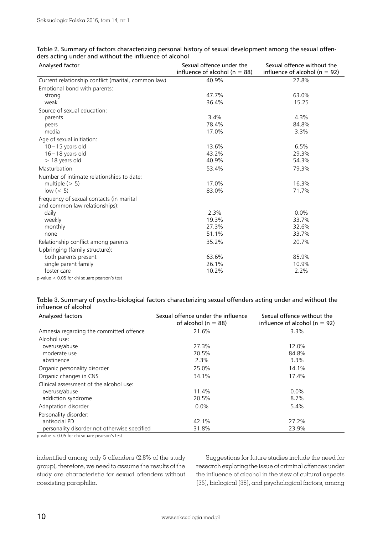| Analysed factor                                                            | Sexual offence under the<br>influence of alcohol ( $n = 88$ ) | Sexual offence without the<br>influence of alcohol ( $n = 92$ ) |
|----------------------------------------------------------------------------|---------------------------------------------------------------|-----------------------------------------------------------------|
| Current relationship conflict (marital, common law)                        | 40.9%                                                         | 22.8%                                                           |
| Emotional bond with parents:                                               |                                                               |                                                                 |
| strong                                                                     | 47.7%                                                         | 63.0%                                                           |
| weak                                                                       | 36.4%                                                         | 15.25                                                           |
| Source of sexual education:                                                |                                                               |                                                                 |
| parents                                                                    | 3.4%                                                          | 4.3%                                                            |
| peers                                                                      | 78.4%                                                         | 84.8%                                                           |
| media                                                                      | 17.0%                                                         | 3.3%                                                            |
| Age of sexual initiation:                                                  |                                                               |                                                                 |
| $10 - 15$ years old                                                        | 13.6%                                                         | 6.5%                                                            |
| $16 - 18$ years old                                                        | 43.2%                                                         | 29.3%                                                           |
| $>$ 18 years old                                                           | 40.9%                                                         | 54.3%                                                           |
| Masturbation                                                               | 53.4%                                                         | 79.3%                                                           |
| Number of intimate relationships to date:                                  |                                                               |                                                                 |
| multiple $(> 5)$                                                           | 17.0%                                                         | 16.3%                                                           |
| low $(< 5)$                                                                | 83.0%                                                         | 71.7%                                                           |
| Frequency of sexual contacts (in marital<br>and common law relationships): |                                                               |                                                                 |
| daily                                                                      | 2.3%                                                          | 0.0%                                                            |
| weekly                                                                     | 19.3%                                                         | 33.7%                                                           |
| monthly                                                                    | 27.3%                                                         | 32.6%                                                           |
| none                                                                       | 51.1%                                                         | 33.7%                                                           |
| Relationship conflict among parents                                        | 35.2%                                                         | 20.7%                                                           |
| Upbringing (family structure):                                             |                                                               |                                                                 |
| both parents present                                                       | 63.6%                                                         | 85.9%                                                           |
| single parent family                                                       | 26.1%                                                         | 10.9%                                                           |
| foster care                                                                | 10.2%                                                         | 2.2%                                                            |

| Table 2. Summary of factors characterizing personal history of sexual development among the sexual offen- |  |
|-----------------------------------------------------------------------------------------------------------|--|
| ders acting under and without the influence of alcohol                                                    |  |

p-value < 0.05 for chi square pearson's test

| Table 3. Summary of psycho-biological factors characterizing sexual offenders acting under and without the |  |  |  |
|------------------------------------------------------------------------------------------------------------|--|--|--|
| influence of alcohol                                                                                       |  |  |  |

| Analyzed factors                             | Sexual offence under the influence<br>of alcohol ( $n = 88$ ) | Sexual offence without the<br>influence of alcohol ( $n = 92$ ) |
|----------------------------------------------|---------------------------------------------------------------|-----------------------------------------------------------------|
| Amnesia regarding the committed offence      | 21.6%                                                         | 3.3%                                                            |
| Alcohol use:                                 |                                                               |                                                                 |
| overuse/abuse                                | 27.3%                                                         | 12.0%                                                           |
| moderate use                                 | 70.5%                                                         | 84.8%                                                           |
| abstinence                                   | 2.3%                                                          | 3.3%                                                            |
| Organic personality disorder                 | 25.0%                                                         | 14.1%                                                           |
| Organic changes in CNS                       | 34.1%                                                         | 17.4%                                                           |
| Clinical assessment of the alcohol use:      |                                                               |                                                                 |
| overuse/abuse                                | 11.4%                                                         | $0.0\%$                                                         |
| addiction syndrome                           | 20.5%                                                         | 8.7%                                                            |
| Adaptation disorder                          | $0.0\%$                                                       | 5.4%                                                            |
| Personality disorder:                        |                                                               |                                                                 |
| antisocial PD                                | 42.1%                                                         | 27.2%                                                           |
| personality disorder not otherwise specified | 31.8%                                                         | 23.9%                                                           |

p-value < 0.05 for chi square pearson's test

indentified among only 5 offenders (2.8% of the study group), therefore, we need to assume the results of the study are characteristic for sexual offenders without coexisting paraphilia.

Suggestions for future studies include the need for research exploring the issue of criminal offences under the influence of alcohol in the view of cultural aspects [35], biological [38], and psychological factors, among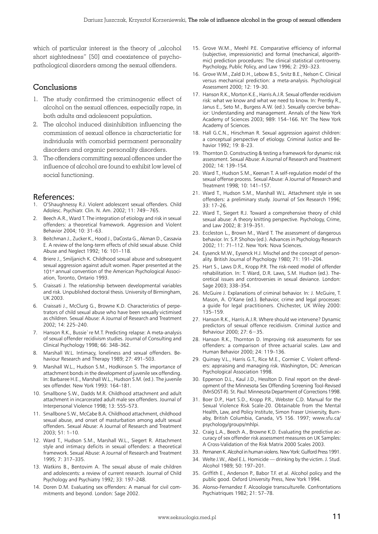which of particular interest is the theory of "alcohol short sightedness" [50] and coexistence of psychopathological disorders among the sexual offenders.

# Conclusions

- 1. The study confirmed the criminogenic effect of alcohol on the sexual offences, especially rape, in both adults and adolescent population.
- 2. The alcohol induced disinhibition influencing the commission of sexual offence is characteristic for individuals with comorbid permanent personality disorders and organic personality disorders.
- 3. The offenders committing sexual offences under the influence of alcohol are found to exhibit low level of social functioning.

## References:

- 1. O'Shaughnessy R.J. Violent adolescent sexual offenders. Child Adolesc. Psychiatr. Clin. N. Am. 2002; 11: 749−765.
- Beech A.R., Ward T. The integration of etiology and risk in sexual offenders: a theoretical framework. Aggression and Violent Behavior 2004; 10: 31–63.
- Beitchman J., Zucker K., Hood J., DaCosta G., Akman D., Cassavia E. A review of the long-term effects of child sexual abuse. Child Abuse and Neglect 1992; 16: 101–118.
- 4. Briere J., Smiljanich K. Childhood sexual abuse and subsequent sexual aggression against adult women. Paper presented at the 101<sup>st</sup> annual convention of the American Psychological Association, Toronto, Ontario 1993.
- 5. Craissati J. The relationship between developmental variables and risk. Unpublished doctoral thesis. University of Birmingham, UK 2003.
- Craissati J., McClurg G., Browne K.D. Characteristics of perpetrators of child sexual abuse who have been sexually victimised as children. Sexual Abuse: A Journal of Research and Treatment 2002; 14: 225–240.
- 7. Hanson R.K., Bussie`re M.T. Predicting relapse: A meta-analysis of sexual offender recidivism studies. Journal of Consulting and Clinical Psychology 1998; 66: 348–362.
- Marshall W.L. Intimacy, loneliness and sexual offenders. Behaviour Research and Therapy 1989; 27: 491–503.
- Marshall W.L., Hudson S.M., Hodkinson S. The importance of attachment bonds in the development of juvenile sex offending. In: Barbaree H.E., Marshall W.L., Hudson S.M. (ed.). The juvenile sex offender. New York 1993: 164–181.
- 10. Smallbone S.W., Dadds M.R. Childhood attachment and adult attachment in incarcerated adult male sex offenders. Journal of Interpersonal Violence 1998; 13: 555–573.
- 11. Smallbone S.W., McCabe B.A. Childhood attachment, childhood sexual abuse, and onset of masturbation among adult sexual offenders. Sexual Abuse: A Journal of Research and Treatment 2003; 51: 1–10.
- 12. Ward T., Hudson S.M., Marshall W.L., Siegert R. Attachment style and intimacy deficits in sexual offenders: a theoretical framework. Sexual Abuse: A Journal of Research and Treatment 1995; 7: 317–335.
- 13. Watkins B., Bentovim A. The sexual abuse of male children and adolescents: a review of current research. Journal of Child Psychology and Psychiatry 1992; 33: 197–248.
- 14. Doren D.M. Evaluating sex offenders: A manual for civil commitments and beyond. London: Sage 2002.
- 15. Grove W.M., Meehl P.E. Comparative efficiency of informal (subjective, impressionistic) and formal (mechanical, algorithmic) prediction procedures: The clinical statistical controversy. Psychology, Public Policy, and Law 1996; 2: 293–323.
- 16. Grove W.M., Zald D.H., Lebow B.S., Snitz B.E., Nelson C. Clinical versus mechanical prediction: a meta-analysis. Psychological Assessment 2000; 12: 19–30.
- 17. Hanson R.K., Morton K.E., Harris A.J.R. Sexual offender recidivism risk: what we know and what we need to know. In: Prentky R., Janus E., Seto M., Burgess A.W. (ed.). Sexually coercive behavior: Understanding and management. Annals of the New York Academy of Sciences 2003; 989: 154–166. NY: The New York Academy of Sciences.
- 18. Hall G.C.N., Hirschman R. Sexual aggression against children: a conceptual perspective of etiology. Criminal Justice and Behavior 1992; 19: 8–23.
- 19. Thornton D. Constructing & testing a framework for dynamic risk assessment. Sexual Abuse: A Journal of Research and Treatment 2002; 14: 139–154.
- 20. Ward T., Hudson S.M., Keenan T. A self-regulation model of the sexual offense process. Sexual Abuse: A Journal of Research and Treatment 1998; 10: 141–157.
- 21. Ward T., Hudson S.M., Marshall W.L. Attachment style in sex offenders: a preliminary study. Journal of Sex Research 1996; 33: 17–26.
- 22. Ward T., Siegert R.J. Toward a comprehensive theory of child sexual abuse: A theory knitting perspective. Psychology, Crime, and Law 2002; 8: 319–351.
- 23. Eccleston L., Brown M., Ward T. The assessment of dangerous behavior. In: S.P. Shohov (ed.). Advances in Psychology Research 2002; 11: 71–112. New York: Nova Sciences.
- 24. Eysenck M.W., Eysenck H.J. Mischel and the concept of personality. British Journal of Psychology 1980; 71: 191–204.
- 25. Hart S., Laws D.R., Kropp P.R. The risk-need model of offender rehabilitation. In: T. Ward, D.R. Laws, S.M. Hudson (ed.). Theoretical issues and controversies in sexual deviance. London: Sage 2003; 338–354.
- 26. McGuire J. Explanations of criminal behavior. In: J. McGuire, T. Mason, A. O'Kane (ed.). Behavior, crime and legal processes: a guide for legal practitioners. Chichester, UK Wiley 2000: 135–159.
- 27. Hanson R.K., Harris A.J.R. Where should we intervene? Dynamic predictors of sexual offence recidivism. Criminal Justice and Behaviour 2000; 27: 6−35.
- 28. Hanson R.K., Thornton D. Improving risk assessments for sex offenders: a comparison of three actuarial scales. Law and Human Behavior 2000; 24: 119–136.
- 29. Quinsey V.L., Harris G.T., Rice M.E., Cormier C. Violent offenders: appraising and managing risk. Washington, DC: American Psychological Association 1998.
- 30. Epperson D.L., Kaul J.D., Hesslton D. Final report on the development of the Minnesota Sex Offending Screening Tool-Revised (MnSOST-R). St. Paul: Minnesota Department of Corrections 1998.
- 31. Boer D.P., Hart S.D., Kropp P.R., Webster C.D. Manual for the Sexual Violence Risk Scale-20. Obtainable from the Mental Health, Law, and Policy Institute, Simon Fraser University, Burnaby, British Columbia, Canada, V5 1S6. 1997; www.sfu.ca/ psychology/groups/mhlpi.
- 32. Craig L.A., Beech A., Browne K.D. Evaluating the predictive accuracy of sex offender risk assessment measures on UK Samples: A Cross-Validation of the Risk Matrix 2000 Scales 2003.
- 33. Pernanen K. Alcohol in human violens. New York: Gulford Press 1991.
- 34. Welte J.W., Abel E.L. Homicide drinking by the victim. J. Stud. Alcohol 1989; 50: 197–201.
- 35. Griffith E., Anderson P., Babor T.F. et al. Alcohol policy and the public good. Oxford University Press, New York 1994.
- 36. Alonso-Fernandez F. Alcoologie transculturelle. Confrontations Psychiatriques 1982; 21: 57–78.